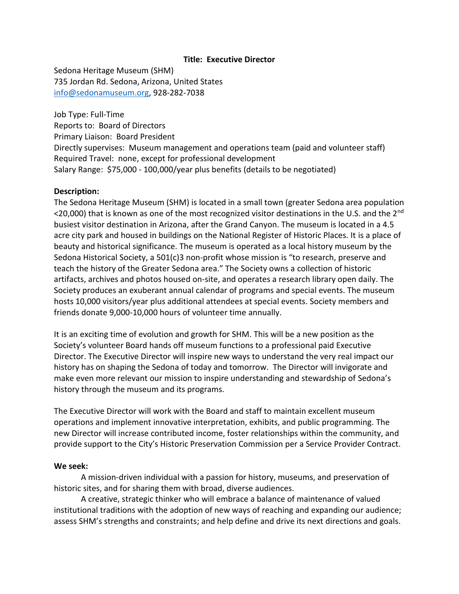### **Title: Executive Director**

Sedona Heritage Museum (SHM) 735 Jordan Rd. Sedona, Arizona, United States [info@sedonamuseum.org,](mailto:info@sedonamuseum.org) 928-282-7038

Job Type: Full-Time Reports to: Board of Directors Primary Liaison: Board President Directly supervises: Museum management and operations team (paid and volunteer staff) Required Travel: none, except for professional development Salary Range: \$75,000 - 100,000/year plus benefits (details to be negotiated)

### **Description:**

The Sedona Heritage Museum (SHM) is located in a small town (greater Sedona area population <20,000) that is known as one of the most recognized visitor destinations in the U.S. and the 2<sup>nd</sup> busiest visitor destination in Arizona, after the Grand Canyon. The museum is located in a 4.5 acre city park and housed in buildings on the National Register of Historic Places. It is a place of beauty and historical significance. The museum is operated as a local history museum by the Sedona Historical Society, a 501(c)3 non-profit whose mission is "to research, preserve and teach the history of the Greater Sedona area." The Society owns a collection of historic artifacts, archives and photos housed on-site, and operates a research library open daily. The Society produces an exuberant annual calendar of programs and special events. The museum hosts 10,000 visitors/year plus additional attendees at special events. Society members and friends donate 9,000-10,000 hours of volunteer time annually.

It is an exciting time of evolution and growth for SHM. This will be a new position as the Society's volunteer Board hands off museum functions to a professional paid Executive Director. The Executive Director will inspire new ways to understand the very real impact our history has on shaping the Sedona of today and tomorrow. The Director will invigorate and make even more relevant our mission to inspire understanding and stewardship of Sedona's history through the museum and its programs.

The Executive Director will work with the Board and staff to maintain excellent museum operations and implement innovative interpretation, exhibits, and public programming. The new Director will increase contributed income, foster relationships within the community, and provide support to the City's Historic Preservation Commission per a Service Provider Contract.

#### **We seek:**

A mission-driven individual with a passion for history, museums, and preservation of historic sites, and for sharing them with broad, diverse audiences.

A creative, strategic thinker who will embrace a balance of maintenance of valued institutional traditions with the adoption of new ways of reaching and expanding our audience; assess SHM's strengths and constraints; and help define and drive its next directions and goals.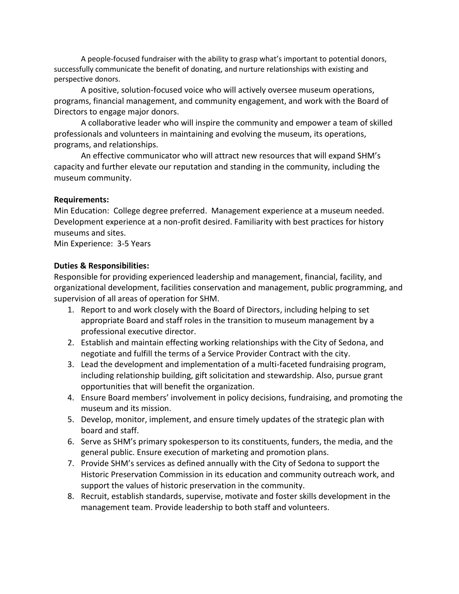A people-focused fundraiser with the ability to grasp what's important to potential donors, successfully communicate the benefit of donating, and nurture relationships with existing and perspective donors.

A positive, solution-focused voice who will actively oversee museum operations, programs, financial management, and community engagement, and work with the Board of Directors to engage major donors.

A collaborative leader who will inspire the community and empower a team of skilled professionals and volunteers in maintaining and evolving the museum, its operations, programs, and relationships.

An effective communicator who will attract new resources that will expand SHM's capacity and further elevate our reputation and standing in the community, including the museum community.

# **Requirements:**

Min Education: College degree preferred. Management experience at a museum needed. Development experience at a non-profit desired. Familiarity with best practices for history museums and sites.

Min Experience: 3-5 Years

# **Duties & Responsibilities:**

Responsible for providing experienced leadership and management, financial, facility, and organizational development, facilities conservation and management, public programming, and supervision of all areas of operation for SHM.

- 1. Report to and work closely with the Board of Directors, including helping to set appropriate Board and staff roles in the transition to museum management by a professional executive director.
- 2. Establish and maintain effecting working relationships with the City of Sedona, and negotiate and fulfill the terms of a Service Provider Contract with the city.
- 3. Lead the development and implementation of a multi-faceted fundraising program, including relationship building, gift solicitation and stewardship. Also, pursue grant opportunities that will benefit the organization.
- 4. Ensure Board members' involvement in policy decisions, fundraising, and promoting the museum and its mission.
- 5. Develop, monitor, implement, and ensure timely updates of the strategic plan with board and staff.
- 6. Serve as SHM's primary spokesperson to its constituents, funders, the media, and the general public. Ensure execution of marketing and promotion plans.
- 7. Provide SHM's services as defined annually with the City of Sedona to support the Historic Preservation Commission in its education and community outreach work, and support the values of historic preservation in the community.
- 8. Recruit, establish standards, supervise, motivate and foster skills development in the management team. Provide leadership to both staff and volunteers.